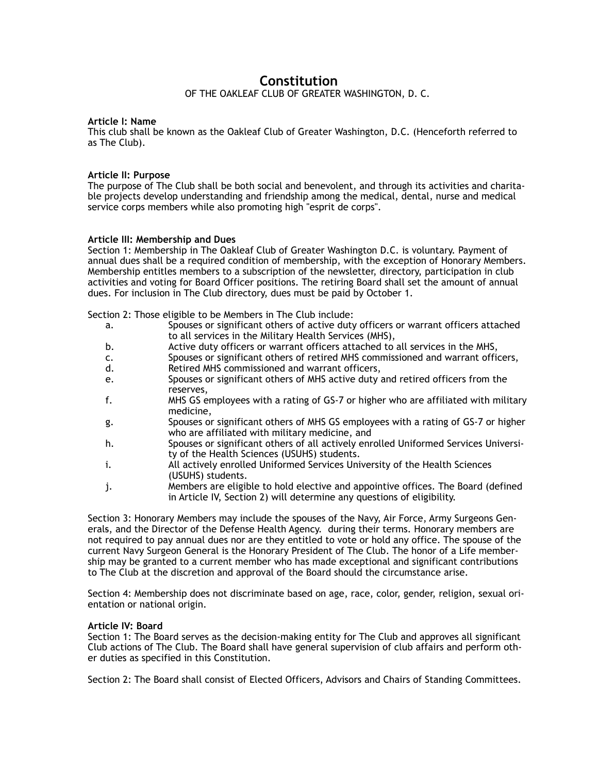# **Constitution** OF THE OAKLEAF CLUB OF GREATER WASHINGTON, D. C.

## **Article I: Name**

This club shall be known as the Oakleaf Club of Greater Washington, D.C. (Henceforth referred to as The Club).

## **Article II: Purpose**

The purpose of The Club shall be both social and benevolent, and through its activities and charitable projects develop understanding and friendship among the medical, dental, nurse and medical service corps members while also promoting high "esprit de corps".

## **Article III: Membership and Dues**

Section 1: Membership in The Oakleaf Club of Greater Washington D.C. is voluntary. Payment of annual dues shall be a required condition of membership, with the exception of Honorary Members. Membership entitles members to a subscription of the newsletter, directory, participation in club activities and voting for Board Officer positions. The retiring Board shall set the amount of annual dues. For inclusion in The Club directory, dues must be paid by October 1.

Section 2: Those eligible to be Members in The Club include:

- a. Spouses or significant others of active duty officers or warrant officers attached to all services in the Military Health Services (MHS),
- b. Active duty officers or warrant officers attached to all services in the MHS,
- c. Spouses or significant others of retired MHS commissioned and warrant officers, d. Retired MHS commissioned and warrant officers,
- e. Spouses or significant others of MHS active duty and retired officers from the reserves,
- f. MHS GS employees with a rating of GS-7 or higher who are affiliated with military medicine,
- g. Spouses or significant others of MHS GS employees with a rating of GS-7 or higher who are affiliated with military medicine, and
- h. Spouses or significant others of all actively enrolled Uniformed Services University of the Health Sciences (USUHS) students.
- i. All actively enrolled Uniformed Services University of the Health Sciences (USUHS) students.
- j. Members are eligible to hold elective and appointive offices. The Board (defined in Article IV, Section 2) will determine any questions of eligibility.

Section 3: Honorary Members may include the spouses of the Navy, Air Force, Army Surgeons Generals, and the Director of the Defense Health Agency. during their terms. Honorary members are not required to pay annual dues nor are they entitled to vote or hold any office. The spouse of the current Navy Surgeon General is the Honorary President of The Club. The honor of a Life membership may be granted to a current member who has made exceptional and significant contributions to The Club at the discretion and approval of the Board should the circumstance arise.

Section 4: Membership does not discriminate based on age, race, color, gender, religion, sexual orientation or national origin.

## **Article IV: Board**

Section 1: The Board serves as the decision-making entity for The Club and approves all significant Club actions of The Club. The Board shall have general supervision of club affairs and perform other duties as specified in this Constitution.

Section 2: The Board shall consist of Elected Officers, Advisors and Chairs of Standing Committees.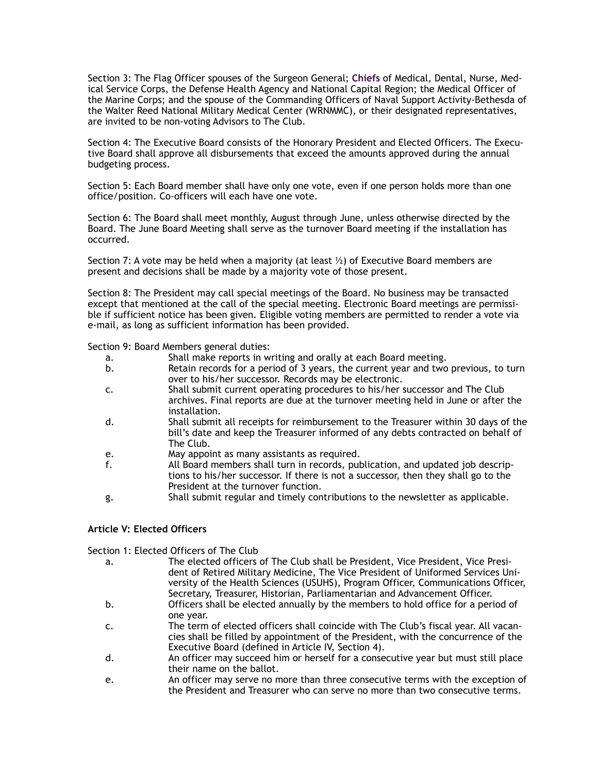Section 3: The Flag Officer spouses of the Surgeon General; **Chiefs** of Medical, Dental, Nurse, Medical Service Corps, the Defense Health Agency and National Capital Region; the Medical Officer of the Marine Corps; and the spouse of the Commanding Officers of Naval Support Activity-Bethesda of the Walter Reed National Military Medical Center (WRNMMC), or their designated representatives, are invited to be non-voting Advisors to The Club.

Section 4: The Executive Board consists of the Honorary President and Elected Officers. The Executive Board shall approve all disbursements that exceed the amounts approved during the annual budgeting process.

Section 5: Each Board member shall have only one vote, even if one person holds more than one office/position. Co-officers will each have one vote.

Section 6: The Board shall meet monthly, August through June, unless otherwise directed by the Board. The June Board Meeting shall serve as the turnover Board meeting if the installation has occurred.

Section 7: A vote may be held when a majority (at least  $\frac{1}{2}$ ) of Executive Board members are present and decisions shall be made by a majority vote of those present.

Section 8: The President may call special meetings of the Board. No business may be transacted except that mentioned at the call of the special meeting. Electronic Board meetings are permissible if sufficient notice has been given. Eligible voting members are permitted to render a vote via e-mail, as long as sufficient information has been provided.

Section 9: Board Members general duties:

- a. Shall make reports in writing and orally at each Board meeting.
- b. Retain records for a period of 3 years, the current year and two previous, to turn over to his/her successor. Records may be electronic.
- c. Shall submit current operating procedures to his/her successor and The Club archives. Final reports are due at the turnover meeting held in June or after the installation.
- d. Shall submit all receipts for reimbursement to the Treasurer within 30 days of the bill's date and keep the Treasurer informed of any debts contracted on behalf of The Club.
- e. May appoint as many assistants as required.
- f. All Board members shall turn in records, publication, and updated job descriptions to his/her successor. If there is not a successor, then they shall go to the President at the turnover function.
- g. Shall submit regular and timely contributions to the newsletter as applicable.

## **Article V: Elected Officers**

Section 1: Elected Officers of The Club

- a. The elected officers of The Club shall be President, Vice President, Vice President of Retired Military Medicine, The Vice President of Uniformed Services University of the Health Sciences (USUHS), Program Officer, Communications Officer, Secretary, Treasurer, Historian, Parliamentarian and Advancement Officer.
- b. Officers shall be elected annually by the members to hold office for a period of one year.
- c. The term of elected officers shall coincide with The Club's fiscal year. All vacancies shall be filled by appointment of the President, with the concurrence of the Executive Board (defined in Article IV, Section 4).
- d. An officer may succeed him or herself for a consecutive year but must still place their name on the ballot.
- e. An officer may serve no more than three consecutive terms with the exception of the President and Treasurer who can serve no more than two consecutive terms.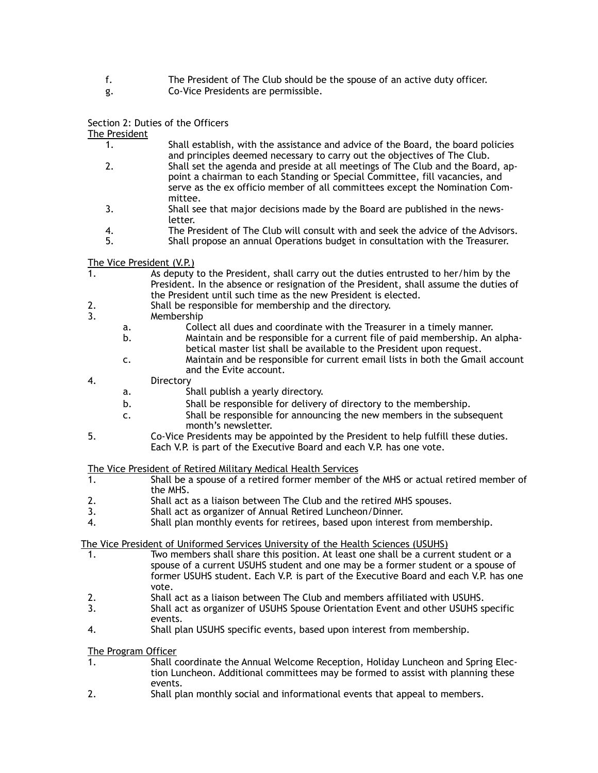- f. The President of The Club should be the spouse of an active duty officer.
- g. Co-Vice Presidents are permissible.

## Section 2: Duties of the Officers

The President

- 1. Shall establish, with the assistance and advice of the Board, the board policies and principles deemed necessary to carry out the objectives of The Club.
- 2. Shall set the agenda and preside at all meetings of The Club and the Board, appoint a chairman to each Standing or Special Committee, fill vacancies, and serve as the ex officio member of all committees except the Nomination Committee.
- 3. Shall see that major decisions made by the Board are published in the newsletter.
- 4. The President of The Club will consult with and seek the advice of the Advisors.<br>5. Shall propose an annual Operations budget in consultation with the Treasurer.
	- 5. Shall propose an annual Operations budget in consultation with the Treasurer.

The Vice President (V.P.)<br>1. As deputy

- As deputy to the President, shall carry out the duties entrusted to her/him by the President. In the absence or resignation of the President, shall assume the duties of the President until such time as the new President is elected.
- 2. Shall be responsible for membership and the directory.
- 3. Membership
	- a. Collect all dues and coordinate with the Treasurer in a timely manner. b. Maintain and be responsible for a current file of paid membership. An alphabetical master list shall be available to the President upon request.
	- c. Maintain and be responsible for current email lists in both the Gmail account and the Evite account.
- 4. Directory
	- a. Shall publish a yearly directory.
	- b. Shall be responsible for delivery of directory to the membership.
	- c. Shall be responsible for announcing the new members in the subsequent month's newsletter.
- 5. Co-Vice Presidents may be appointed by the President to help fulfill these duties. Each V.P. is part of the Executive Board and each V.P. has one vote.

The Vice President of Retired Military Medical Health Services

- 1. Shall be a spouse of a retired former member of the MHS or actual retired member of the MHS.
- 2. Shall act as a liaison between The Club and the retired MHS spouses.
- 3. Shall act as organizer of Annual Retired Luncheon/Dinner.
- 4. Shall plan monthly events for retirees, based upon interest from membership.

The Vice President of Uniformed Services University of the Health Sciences (USUHS)

- 1. Two members shall share this position. At least one shall be a current student or a spouse of a current USUHS student and one may be a former student or a spouse of former USUHS student. Each V.P. is part of the Executive Board and each V.P. has one vote.
- 2. Shall act as a liaison between The Club and members affiliated with USUHS.
- 3. Shall act as organizer of USUHS Spouse Orientation Event and other USUHS specific events.
- 4. Shall plan USUHS specific events, based upon interest from membership.

The Program Officer

- 1. Shall coordinate the Annual Welcome Reception, Holiday Luncheon and Spring Election Luncheon. Additional committees may be formed to assist with planning these events.
- 2. Shall plan monthly social and informational events that appeal to members.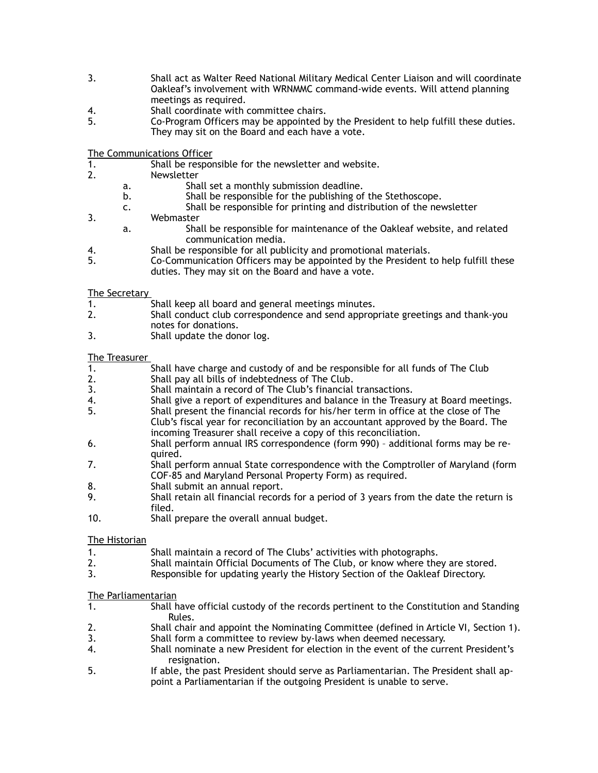- 3. Shall act as Walter Reed National Military Medical Center Liaison and will coordinate Oakleaf's involvement with WRNMMC command-wide events. Will attend planning meetings as required.
- 4. Shall coordinate with committee chairs.
- 5. Co-Program Officers may be appointed by the President to help fulfill these duties. They may sit on the Board and each have a vote.

The Communications Officer

- 1. Shall be responsible for the newsletter and website.
- 2. Newsletter
	- a. Shall set a monthly submission deadline.
		- b. Shall be responsible for the publishing of the Stethoscope.
	- c. Shall be responsible for printing and distribution of the newsletter
- 3. Webmaster
	- a. Shall be responsible for maintenance of the Oakleaf website, and related communication media.
- 4. Shall be responsible for all publicity and promotional materials.
- 5. Co-Communication Officers may be appointed by the President to help fulfill these duties. They may sit on the Board and have a vote.

## The Secretary

- 1. Shall keep all board and general meetings minutes.
- 2. Shall conduct club correspondence and send appropriate greetings and thank-you notes for donations.
- 3. Shall update the donor log.

## The Treasurer

- 1. Shall have charge and custody of and be responsible for all funds of The Club
- 2. Shall pay all bills of indebtedness of The Club.
- 3. Shall maintain a record of The Club's financial transactions.
- 4. Shall give a report of expenditures and balance in the Treasury at Board meetings.<br>5. Shall present the financial records for his/her term in office at the close of The
- 5. Shall present the financial records for his/her term in office at the close of The Club's fiscal year for reconciliation by an accountant approved by the Board. The
- incoming Treasurer shall receive a copy of this reconciliation.
- 6. Shall perform annual IRS correspondence (form 990) additional forms may be required.
- 7. Shall perform annual State correspondence with the Comptroller of Maryland (form COF-85 and Maryland Personal Property Form) as required.
- 8. Shall submit an annual report.
- 9. Shall retain all financial records for a period of 3 years from the date the return is filed.
- 10. Shall prepare the overall annual budget.

## The Historian

- 1. Shall maintain a record of The Clubs' activities with photographs.
- 2. Shall maintain Official Documents of The Club, or know where they are stored.
- 3. Responsible for updating yearly the History Section of the Oakleaf Directory.

## The Parliamentarian

- 1. Shall have official custody of the records pertinent to the Constitution and Standing Rules.
- 2. Shall chair and appoint the Nominating Committee (defined in Article VI, Section 1).
- 3. Shall form a committee to review by-laws when deemed necessary.
- 4. Shall nominate a new President for election in the event of the current President's resignation.
- 5. If able, the past President should serve as Parliamentarian. The President shall appoint a Parliamentarian if the outgoing President is unable to serve.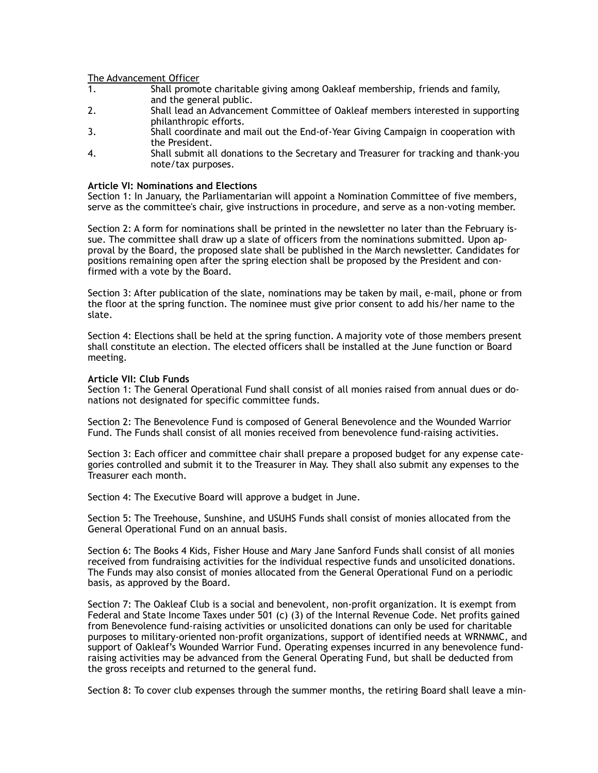The Advancement Officer

- 1. Shall promote charitable giving among Oakleaf membership, friends and family, and the general public.
- 2. Shall lead an Advancement Committee of Oakleaf members interested in supporting philanthropic efforts.
- 3. Shall coordinate and mail out the End-of-Year Giving Campaign in cooperation with the President.
- 4. Shall submit all donations to the Secretary and Treasurer for tracking and thank-you note/tax purposes.

### **Article VI: Nominations and Elections**

Section 1: In January, the Parliamentarian will appoint a Nomination Committee of five members, serve as the committee's chair, give instructions in procedure, and serve as a non-voting member.

Section 2: A form for nominations shall be printed in the newsletter no later than the February issue. The committee shall draw up a slate of officers from the nominations submitted. Upon approval by the Board, the proposed slate shall be published in the March newsletter. Candidates for positions remaining open after the spring election shall be proposed by the President and confirmed with a vote by the Board.

Section 3: After publication of the slate, nominations may be taken by mail, e-mail, phone or from the floor at the spring function. The nominee must give prior consent to add his/her name to the slate.

Section 4: Elections shall be held at the spring function. A majority vote of those members present shall constitute an election. The elected officers shall be installed at the June function or Board meeting.

## **Article VII: Club Funds**

Section 1: The General Operational Fund shall consist of all monies raised from annual dues or donations not designated for specific committee funds.

Section 2: The Benevolence Fund is composed of General Benevolence and the Wounded Warrior Fund. The Funds shall consist of all monies received from benevolence fund-raising activities.

Section 3: Each officer and committee chair shall prepare a proposed budget for any expense categories controlled and submit it to the Treasurer in May. They shall also submit any expenses to the Treasurer each month.

Section 4: The Executive Board will approve a budget in June.

Section 5: The Treehouse, Sunshine, and USUHS Funds shall consist of monies allocated from the General Operational Fund on an annual basis.

Section 6: The Books 4 Kids, Fisher House and Mary Jane Sanford Funds shall consist of all monies received from fundraising activities for the individual respective funds and unsolicited donations. The Funds may also consist of monies allocated from the General Operational Fund on a periodic basis, as approved by the Board.

Section 7: The Oakleaf Club is a social and benevolent, non-profit organization. It is exempt from Federal and State Income Taxes under 501 (c) (3) of the Internal Revenue Code. Net profits gained from Benevolence fund-raising activities or unsolicited donations can only be used for charitable purposes to military-oriented non-profit organizations, support of identified needs at WRNMMC, and support of Oakleaf's Wounded Warrior Fund. Operating expenses incurred in any benevolence fundraising activities may be advanced from the General Operating Fund, but shall be deducted from the gross receipts and returned to the general fund.

Section 8: To cover club expenses through the summer months, the retiring Board shall leave a min-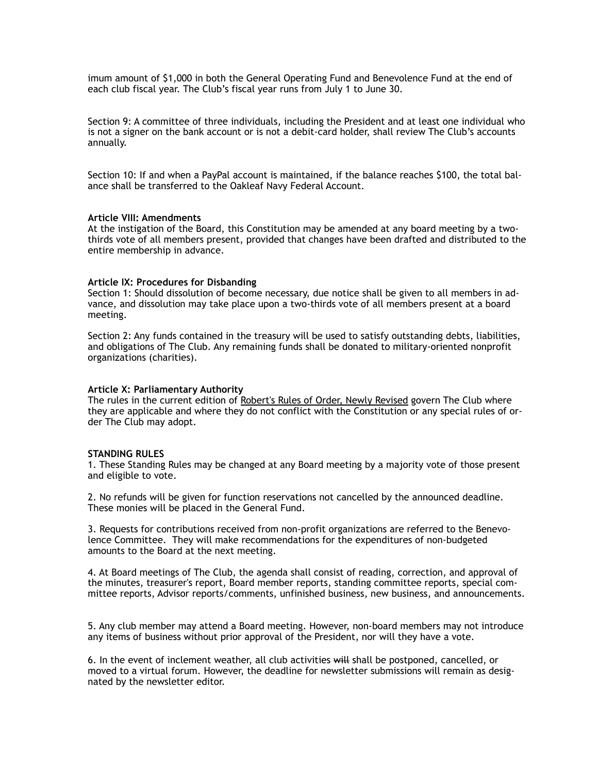imum amount of \$1,000 in both the General Operating Fund and Benevolence Fund at the end of each club fiscal year. The Club's fiscal year runs from July 1 to June 30.

Section 9: A committee of three individuals, including the President and at least one individual who is not a signer on the bank account or is not a debit-card holder, shall review The Club's accounts annually.

Section 10: If and when a PayPal account is maintained, if the balance reaches \$100, the total balance shall be transferred to the Oakleaf Navy Federal Account.

### **Article VIII: Amendments**

At the instigation of the Board, this Constitution may be amended at any board meeting by a twothirds vote of all members present, provided that changes have been drafted and distributed to the entire membership in advance.

### **Article IX: Procedures for Disbanding**

Section 1: Should dissolution of become necessary, due notice shall be given to all members in advance, and dissolution may take place upon a two-thirds vote of all members present at a board meeting.

Section 2: Any funds contained in the treasury will be used to satisfy outstanding debts, liabilities, and obligations of The Club. Any remaining funds shall be donated to military-oriented nonprofit organizations (charities).

#### **Article X: Parliamentary Authority**

The rules in the current edition of Robert's Rules of Order, Newly Revised govern The Club where they are applicable and where they do not conflict with the Constitution or any special rules of order The Club may adopt.

#### **STANDING RULES**

1. These Standing Rules may be changed at any Board meeting by a majority vote of those present and eligible to vote.

2. No refunds will be given for function reservations not cancelled by the announced deadline. These monies will be placed in the General Fund.

3. Requests for contributions received from non-profit organizations are referred to the Benevolence Committee. They will make recommendations for the expenditures of non-budgeted amounts to the Board at the next meeting.

4. At Board meetings of The Club, the agenda shall consist of reading, correction, and approval of the minutes, treasurer's report, Board member reports, standing committee reports, special committee reports, Advisor reports/comments, unfinished business, new business, and announcements.

5. Any club member may attend a Board meeting. However, non-board members may not introduce any items of business without prior approval of the President, nor will they have a vote.

6. In the event of inclement weather, all club activities will shall be postponed, cancelled, or moved to a virtual forum. However, the deadline for newsletter submissions will remain as designated by the newsletter editor.